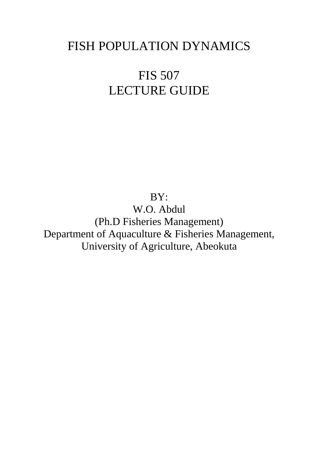# FISH POPULATION DYNAMICS

# FIS 507 LECTURE GUIDE

BY:

W.O. Abdul (Ph.D Fisheries Management) Department of Aquaculture & Fisheries Management, University of Agriculture, Abeokuta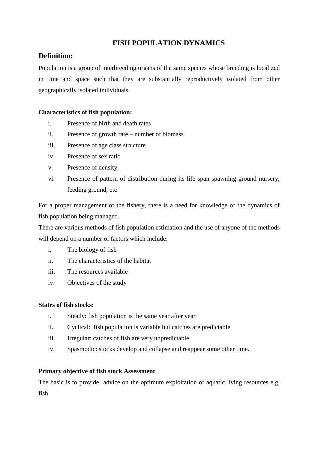# **FISH POPULATION DYNAMICS**

# **Definition:**

Population is a group of interbreeding organs of the same species whose breeding is localized in time and space such that they are substantially reproductively isolated from other geographically isolated individuals.

## **Characteristics of fish population:**

- i. Presence of birth and death rates
- ii. Presence of growth rate number of biomass
- iii. Presence of age class structure
- iv. Presence of sex ratio
- v. Presence of density
- vi. Presence of pattern of distribution during its life span spawning ground nursery, feeding ground, etc

For a proper management of the fishery, there is a need for knowledge of the dynamics of fish population being managed.

There are various methods of fish population estimation and the use of anyone of the methods will depend on a number of factors which include:

- i. The biology of fish
- ii. The characteristics of the habitat
- iii. The resources available
- iv. Objectives of the study

#### **States of fish stocks:**

- i. Steady: fish population is the same year after year
- ii. Cyclical: fish population is variable but catches are predictable
- iii. Irregular: catches of fish are very unpredictable
- iv. Spasmodic: stocks develop and collapse and reappear some other time.

## **Primary objective of fish stock Assessment**.

The basic is to provide advice on the optimum exploitation of aquatic living resources e.g. fish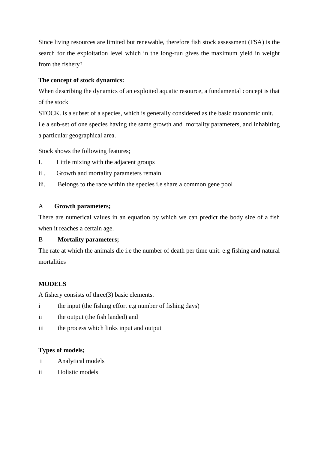Since living resources are limited but renewable, therefore fish stock assessment (FSA) is the search for the exploitation level which in the long-run gives the maximum yield in weight from the fishery?

# **The concept of stock dynamics:**

When describing the dynamics of an exploited aquatic resource, a fundamental concept is that of the stock

STOCK. is a subset of a species, which is generally considered as the basic taxonomic unit. i.e a sub-set of one species having the same growth and mortality parameters, and inhabiting a particular geographical area.

Stock shows the following features;

- I. Little mixing with the adjacent groups
- ii . Growth and mortality parameters remain
- iii. Belongs to the race within the species i.e share a common gene pool

# A **Growth parameters;**

There are numerical values in an equation by which we can predict the body size of a fish when it reaches a certain age.

# B **Mortality parameters;**

The rate at which the animals die i.e the number of death per time unit. e.g fishing and natural mortalities

# **MODELS**

A fishery consists of three(3) basic elements.

- i the input (the fishing effort e.g number of fishing days)
- ii the output (the fish landed) and
- iii the process which links input and output

# **Types of models;**

- i Analytical models
- ii Holistic models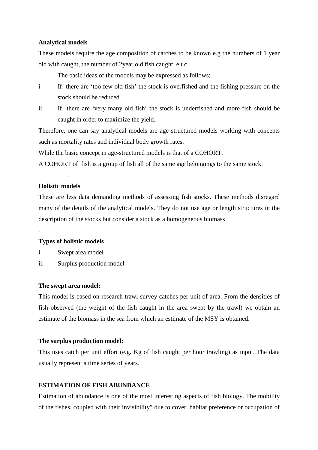#### **Analytical models**

These models require the age composition of catches to be known e.g the numbers of 1 year old with caught, the number of 2year old fish caught, e.t.c

The basic ideas of the models may be expressed as follows;

- i If there are 'too few old fish' the stock is overfished and the fishing pressure on the stock should be reduced.
- ii If there are 'very many old fish' the stock is underfished and more fish should be caught in order to maximize the yield.

Therefore, one can say analytical models are age structured models working with concepts such as mortality rates and individual body growth rates.

While the basic concept in age-structured models is that of a COHORT.

A COHORT of fish is a group of fish all of the same age belongings to the same stock.

## **Holistic models**

.

.

These are less data demanding methods of assessing fish stocks. These methods disregard many of the details of the analytical models. They do not use age or length structures in the description of the stocks but consider a stock as a homogeneous biomass

#### **Types of holistic models**

- i. Swept area model
- ii. Surplus production model

#### **The swept area model:**

This model is based on research trawl survey catches per unit of area. From the densities of fish observed (the weight of the fish caught in the area swept by the trawl) we obtain an estimate of the biomass in the sea from which an estimate of the MSY is obtained.

#### **The surplus production model:**

This uses catch per unit effort (e.g. Kg of fish caught per hour trawling) as input. The data usually represent a time series of years.

#### **ESTIMATION OF FISH ABUNDANCE**

Estimation of abundance is one of the most interesting aspects of fish biology. The mobility of the fishes, coupled with their invisibility" due to cover, habitat preference or occupation of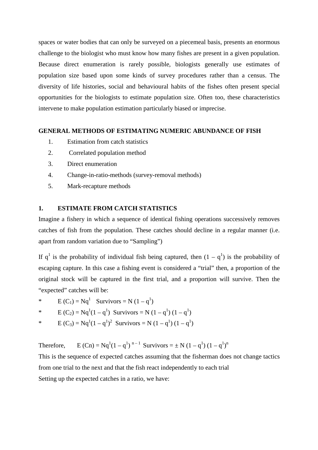spaces or water bodies that can only be surveyed on a piecemeal basis, presents an enormous challenge to the biologist who must know how many fishes are present in a given population. Because direct enumeration is rarely possible, biologists generally use estimates of population size based upon some kinds of survey procedures rather than a census. The diversity of life histories, social and behavioural habits of the fishes often present special opportunities for the biologists to estimate population size. Often too, these characteristics intervene to make population estimation particularly biased or imprecise.

#### **GENERAL METHODS OF ESTIMATING NUMERIC ABUNDANCE OF FISH**

- 1. Estimation from catch statistics
- 2. Correlated population method
- 3. Direct enumeration
- 4. Change-in-ratio-methods (survey-removal methods)
- 5. Mark-recapture methods

## **1. ESTIMATE FROM CATCH STATISTICS**

Imagine a fishery in which a sequence of identical fishing operations successively removes catches of fish from the population. These catches should decline in a regular manner (i.e. apart from random variation due to "Sampling")

If  $q^1$  is the probability of individual fish being captured, then  $(1 - q^1)$  is the probability of escaping capture. In this case a fishing event is considered a "trial" then, a proportion of the original stock will be captured in the first trial, and a proportion will survive. Then the "expected" catches will be:

\* E (C<sub>1</sub>) = Nq<sup>1</sup> Survivors = N (1 – q<sup>1</sup>)

\* 
$$
E(C_2) = Nq^1(1 - q^1)
$$
 Survivors = N  $(1 - q^1) (1 - q^1)$ 

\* 
$$
E(C_3) = Nq^1(1 - q^1)^2
$$
 Survivors = N  $(1 - q^1) (1 - q^1)$ 

Therefore,  $E(Cn) = Nq^{1}(1 - q^{1})^{n-1}$  Survivors =  $\pm N (1 - q^{1})(1 - q^{1})^{n}$ 

This is the sequence of expected catches assuming that the fisherman does not change tactics from one trial to the next and that the fish react independently to each trial Setting up the expected catches in a ratio, we have: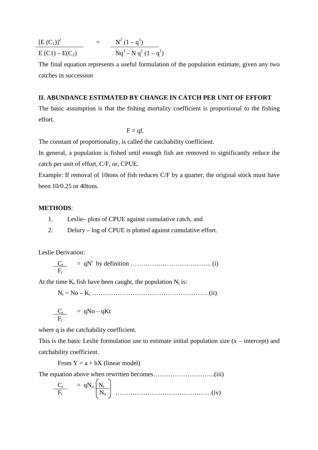$$
\frac{\left[E(C_1)\right]^2}{E(C1) - E(C_2)} = \frac{N^2 (1 - q^1)}{Nq^1 - N q^1 (1 - q^1)}
$$

The final equation represents a useful formulation of the population estimate, given any two catches in succession

#### **II. ABUNDANCE ESTIMATED BY CHANGE IN CATCH PER UNIT OF EFFORT**

The basic assumption is that the fishing mortality coefficient is proportional to the fishing effort.

 $F = af$ .

The constant of proportionality, is called the catchability coefficient.

In general, a population is fished until enough fish are removed to significantly reduce the catch per unit of effort, C/F, or, CPUE.

Example: If removal of 10tons of fish reduces C/F by a quarter, the original stock must have been 10/0.25 or 40tons.

#### **METHODS**:

- 1. Leslie– plots of CPUE against cumulative catch, and
- 2. Delury log of CPUE is plotted against cumulative effort.

Leslie Derivation:

 C<sup>t</sup> = qN<sup>t</sup> by definition ……………………………….. (i) F<sup>t</sup>

At the time  $K_t$  fish have been caught, the population  $N_t$  is:

N<sup>t</sup> = No – K<sup>t</sup> ………………………..…………………….. (ii)

$$
\frac{C_t}{F_t} = qNo - qKt
$$

where q is the catchability coefficient.

This is the basic Leslie formulation use to estimate initial population size  $(x -$  intercept) and catchability coefficient.

From  $Y = a + bX$  (linear model)

The equation above when rewritten becomes………………………..(iii)

 C<sup>t</sup> = qNo N<sup>t</sup> F<sup>t</sup> No ………………………………………(iv)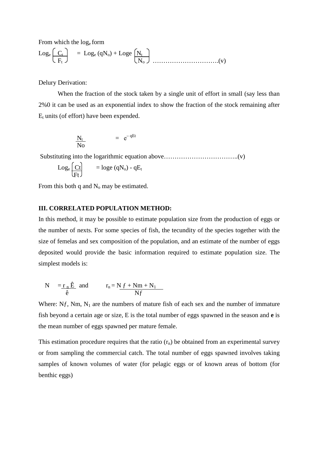From which the loge form

Loge C<sup>t</sup> = Loge (qNo) + Loge N<sup>t</sup> F<sup>t</sup> No ………………………….(v)

Delury Derivation:

When the fraction of the stock taken by a single unit of effort in small (say less than 2%0 it can be used as an exponential index to show the fraction of the stock remaining after  $E_t$  units (of effort) have been expended.

$$
\frac{N_t}{N_O} = e^{-qEt}
$$

Substituting into the logarithmic equation above……………………………..(v)

$$
Log_e \left(\frac{Ct}{Ft}\right) = log_e (qN_o) - qE_t
$$

From this both q and  $N_0$  may be estimated.

#### **III. CORRELATED POPULATION METHOD:**

In this method, it may be possible to estimate population size from the production of eggs or the number of nexts. For some species of fish, the tecundity of the species together with the size of femelas and sex composition of the population, and an estimate of the number of eggs deposited would provide the basic information required to estimate population size. The simplest models is:

$$
N = r_n \hat{E} \text{ and } r_n = N f + N m + N_1
$$
  

$$
\hat{E}
$$

Where:  $N_f$ , Nm,  $N_1$  are the numbers of mature fish of each sex and the number of immature fish beyond a certain age or size, E is the total number of eggs spawned in the season and **e** is the mean number of eggs spawned per mature female.

This estimation procedure requires that the ratio  $(r_n)$  be obtained from an experimental survey or from sampling the commercial catch. The total number of eggs spawned involves taking samples of known volumes of water (for pelagic eggs or of known areas of bottom (for benthic eggs)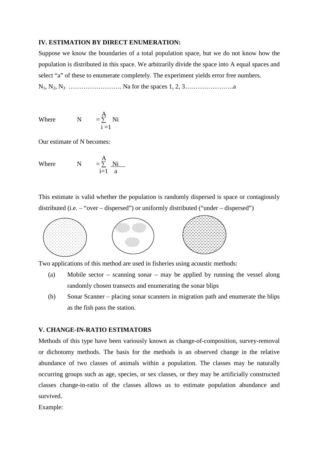#### **IV. ESTIMATION BY DIRECT ENUMERATION:**

Suppose we know the boundaries of a total population space, but we do not know how the population is distributed in this space. We arbitrarily divide the space into A equal spaces and select "a" of these to enumerate completely. The experiment yields error free numbers.

N1, N2, N3 ……………………. Na for the spaces 1, 2, 3…………………..a

Where 
$$
N = \sum_{i=1}^{A} Ni
$$

Our estimate of N becomes:

Where 
$$
N = \sum_{i=1}^{A} \frac{Ni}{a}
$$

This estimate is valid whether the population is randomly dispersed is space or contagiously distributed (i.e. – "over – dispersed") or uniformly distributed ("under – dispersed")



Two applications of this method are used in fisheries using acoustic methods:

- (a) Mobile sector scanning sonar may be applied by running the vessel along randomly chosen transects and enumerating the sonar blips
- (b) Sonar Scanner placing sonar scanners in migration path and enumerate the blips as the fish pass the station.

## **V. CHANGE-IN-RATIO ESTIMATORS**

Methods of this type have been variously known as change-of-composition, survey-removal or dichotomy methods. The basis for the methods is an observed change in the relative abundance of two classes of animals within a population. The classes may be naturally occurring groups such as age, species, or sex classes, or they may be artificially constructed classes change-in-ratio of the classes allows us to estimate population abundance and survived.

Example: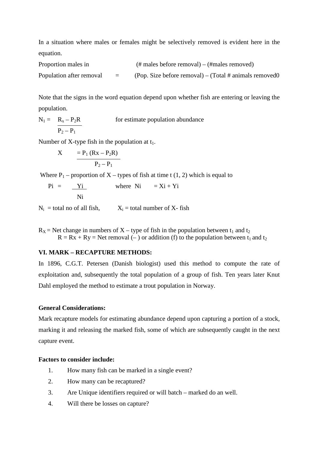In a situation where males or females might be selectively removed is evident here in the equation.

Proportion males in (# males before removal) – (#males removed) Population after removal  $=$  (Pop. Size before removal) – (Total # animals removed0)

Note that the signs in the word equation depend upon whether fish are entering or leaving the population.

 $N_1 = R_x - P_2R$  for estimate population abundance  $\overline{P_2 - P_1}$ 

Number of X-type fish in the population at  $t_1$ .

$$
X = P_1 (Rx - P_2 R) \n P_2 - P_1
$$

Where  $P_1$  – proportion of X – types of fish at time t (1, 2) which is equal to

 $Pi = Yi$  where  $Ni = Xi + Yi$ Ni

 $N_i$  = total no of all fish,  $X_i$  = total number of X- fish

 $R_X$  = Net change in numbers of X – type of fish in the population between t<sub>1</sub> and t<sub>2</sub>  $R = Rx + Ry = Net removal (-)$  or addition (f) to the population between t<sub>1</sub> and t<sub>2</sub>

#### **VI. MARK – RECAPTURE METHODS:**

In 1896, C.G.T. Petersen (Danish biologist) used this method to compute the rate of exploitation and, subsequently the total population of a group of fish. Ten years later Knut Dahl employed the method to estimate a trout population in Norway.

#### **General Considerations:**

Mark recapture models for estimating abundance depend upon capturing a portion of a stock, marking it and releasing the marked fish, some of which are subsequently caught in the next capture event.

## **Factors to consider include:**

- 1. How many fish can be marked in a single event?
- 2. How many can be recaptured?
- 3. Are Unique identifiers required or will batch marked do an well.
- 4. Will there be losses on capture?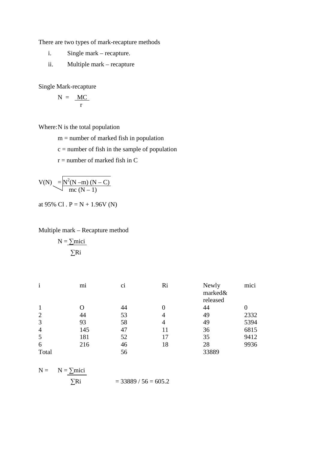There are two types of mark-recapture methods

- i. Single mark recapture.
- ii. Multiple mark recapture

Single Mark-recapture

$$
N = \frac{MC}{r}
$$

Where: N is the total population

 $m =$  number of marked fish in population

 $c =$  number of fish in the sample of population

 $r =$  number of marked fish in C

$$
V(N) = N^{2}(N-m) (N-C) \over mc (N-1)
$$

at 95% Cl .  $P = N + 1.96V$  (N)

## Multiple mark – Recapture method

$$
N = \underline{\sum mici}
$$

$$
\underline{\sum Ri}
$$

| $\mathbf{1}$ | m <sub>1</sub> | C1 | Ri | Newly<br>marked&<br>released | mici |
|--------------|----------------|----|----|------------------------------|------|
|              |                | 44 | 0  | 44                           |      |
| 2            | 44             | 53 |    | 49                           | 2332 |
| 3            | 93             | 58 | 4  | 49                           | 5394 |
| 4            | 145            | 47 |    | 36                           | 6815 |
|              | 181            | 52 |    | 35                           | 9412 |
| 6            | 216            | 46 | 18 | 28                           | 9936 |
| Total        |                | 56 |    | 33889                        |      |

$$
N = N = \frac{\sum \text{mici}}{\sum \text{Ri}} = 33889 / 56 = 605.2
$$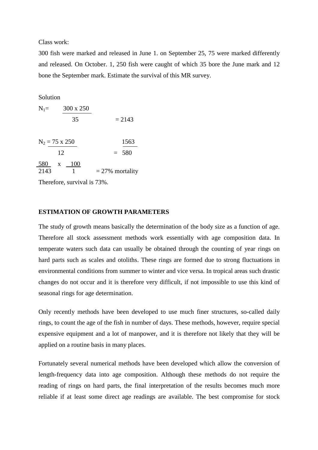Class work:

300 fish were marked and released in June 1. on September 25, 75 were marked differently and released. On October. 1, 250 fish were caught of which 35 bore the June mark and 12 bone the September mark. Estimate the survival of this MR survey.

Solution

| $N_1=$      | 300 x 250                   |                    |
|-------------|-----------------------------|--------------------|
|             | 35                          | $= 2143$           |
|             | $N_2 = 75 \times 250$<br>12 | 1563<br>$= 580$    |
| 580<br>2143 | 100<br>X                    | $= 27\%$ mortality |

Therefore, survival is 73%.

#### **ESTIMATION OF GROWTH PARAMETERS**

The study of growth means basically the determination of the body size as a function of age. Therefore all stock assessment methods work essentially with age composition data. In temperate waters such data can usually be obtained through the counting of year rings on hard parts such as scales and otoliths. These rings are formed due to strong fluctuations in environmental conditions from summer to winter and vice versa. In tropical areas such drastic changes do not occur and it is therefore very difficult, if not impossible to use this kind of seasonal rings for age determination.

Only recently methods have been developed to use much finer structures, so-called daily rings, to count the age of the fish in number of days. These methods, however, require special expensive equipment and a lot of manpower, and it is therefore not likely that they will be applied on a routine basis in many places.

Fortunately several numerical methods have been developed which allow the conversion of length-frequency data into age composition. Although these methods do not require the reading of rings on hard parts, the final interpretation of the results becomes much more reliable if at least some direct age readings are available. The best compromise for stock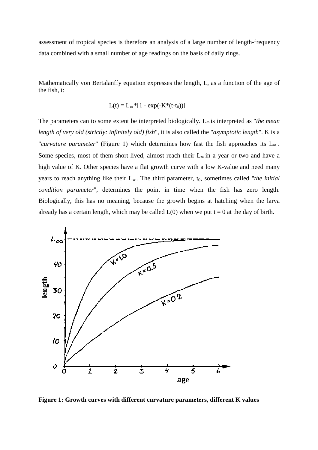assessment of tropical species is therefore an analysis of a large number of length data combined with a small number of age readings on the basis of daily rings.

Mathematically von Bertalanffy equation expresses the length, L, as a function of the age of the fish, t:

$$
L(t) = L_{\infty} * [1 - \exp(-K^*(t - t_0))]
$$

The parameters can to some extent be interpreted biologically. L <sup>∞</sup> is interpreted as " *the mean*  length of very old (strictly: infinitely old) fish", it is also called the "asymptotic length". K is a "*curvature parameter*" (Figure 1) which determines how fast the fish approaches its L <sup>∞</sup> . Some species, most of them short-lived, almost reach their  $L_{\infty}$  in a year or two and have a high value of K. Other species have a flat growth curve with a low K-value and need many years to reach anything like their L<sub>∞</sub>. The third parameter, t<sub>0</sub>, sometimes called "*the initial condition parameter*", determines the point in time when the fish has zero length. Biologically, this has no meaning, because the growth begins at hatching when the larva already has a certain length, which may be called  $L(0)$  when we put  $t = 0$  at the day of birth.



**Figure 1: Growth curves with different curvature parameters, different K values**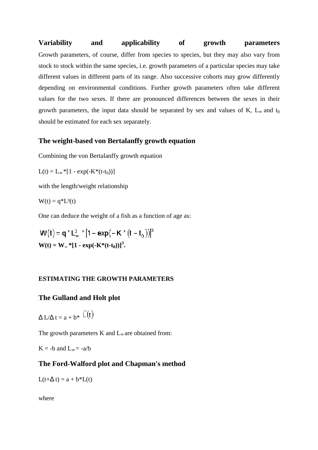**Variability and applicability of growth parameters** Growth parameters, of course, differ from species to species, but they may also vary from stock to stock within the same species, i.e. growth parameters of a particular species may take different values in different parts of its range. Also successive cohorts may grow differently depending on environmental conditions. Further growth parameters often take different values for the two sexes. If there are pronounced differences between the sexes in their growth parameters, the input data should be separated by sex and values of K,  $L_{\infty}$  and  $t_0$ should be estimated for each sex separately. **and applicability** of **growth parameters**<br>meters, of conre, differ from species to species, but they may also vary from<br>k within the same species, the growth parameters of a particular species may fake<br>use in differe

## **The weight-based von Bertalanffy growth equation based**

Combining the von Bertalanffy growth equation

$$
L(t) = L_{\infty} * [1 - exp(-K^*(t - t_0))]
$$

with the length/weight relationship

$$
W(t) = q^*L^3(t)
$$

One can deduce the weight of a fish as a function of age on Bertalanffy growth equation<br>p(-K\*(t-t<sub>0</sub>))]<br>eight relationship<br>he weight of a fish as a function of age as:

$$
W(t) = q \cdot L_{\infty}^{3} \cdot [1 - \exp(-K \cdot (t - t_{0}))]^{3}
$$
  
 
$$
W(t) = W_{\infty} * [1 - \exp(-K \cdot (t - t_{0}))]^{3}.
$$

### **ESTIMATING THE GROWTH PARAMETERS**

# **The Gulland and Holt plot**

$$
\Delta L/\Delta t = a + b^* \ \overline{\mathsf{L}}(t)
$$

The growth parameters  $K$  and  $L_{\infty}$  are obtained from:

 $K = -b$  and  $L_{\infty} = -a/b$ 

## **The Ford-Walford plot and Chapman's method**

 $L(t+\Delta t) = a + b^*L(t)$ 

where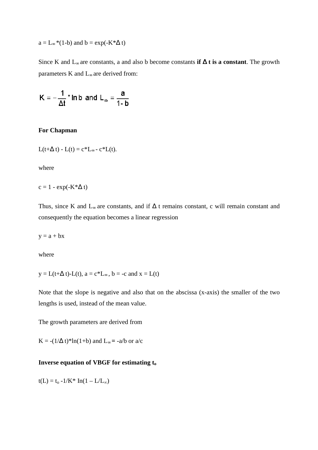$$
a = L_{\infty} * (1-b) \text{ and } b = \exp(-K^* \Delta t)
$$

Since K and L<sup>∞</sup> are constants, a and also b become constants  **if** ∆ **t is a constant** . The growth parameters K and L<sub>∞</sub> are derived from:

$$
K = -\frac{1}{\Delta t} * \ln b \text{ and } L_{\infty} = \frac{a}{1-b}
$$

#### **For Chapman**

$$
L(t+\Delta t) - L(t) = c^*L_{\infty} - c^*L(t).
$$

where

$$
c = 1 - \exp(-K^* \Delta t)
$$

Thus, since K and  $L_{\infty}$  are constants, and if  $\Delta$  t remains constant, c will remain constant and consequently the equation becomes a linear regression

 $y = a + bx$ 

where

 $y = L(t+\Delta t) - L(t), a = c^*L_{\infty}, b = -c \text{ and } x = L(t)$ 

Note that the slope is negative and also that on the abscissa (x-axis) the smaller of the two lengths is used, instead of the mean value.

The growth parameters are derived from

 $K = -(1/\Delta t)^* \ln(1+b)$  and  $L_{\infty} = -a/b$  or  $a/c$ 

#### **Inverse equation of VBGF for estimating t o**

 $t(L) = t_0 - 1/K^*$  In(1 – L/L<sub>∞</sub>)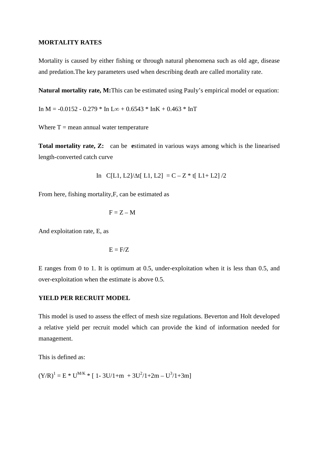#### **MORTALITY RATES**

Mortality is caused by either fishing or through natural phenomena such as old age, disease and predation.The key parameters used when describing death are called mortality rate.

**Natural mortality rate, M:**This can be estimated using Pauly's empirical model or equation:

In M =  $-0.0152 - 0.279 * In L\infty + 0.6543 * InK + 0.463 * InT$ 

Where  $T =$  mean annual water temperature

**Total mortality rate, Z:** can be **e**stimated in various ways among which is the linearised length-converted catch curve

In C[L1, L2]/ $\Delta t$ [ L1, L2] = C – Z \* t[ L1+ L2] /2

From here, fishing mortality,F, can be estimated as

$$
F = Z - M
$$

And exploitation rate, E, as

$$
E = F/Z
$$

E ranges from 0 to 1. It is optimum at 0.5, under-exploitation when it is less than 0.5, and over-exploitation when the estimate is above 0.5.

#### **YIELD PER RECRUIT MODEL**

This model is used to assess the effect of mesh size regulations. Beverton and Holt developed a relative yield per recruit model which can provide the kind of information needed for management.

This is defined as:

 $(Y/R)^{1} = E * U^{M/K} * [1 - 3U/1 + m + 3U^{2}/1 + 2m - U^{3}/1 + 3m]$